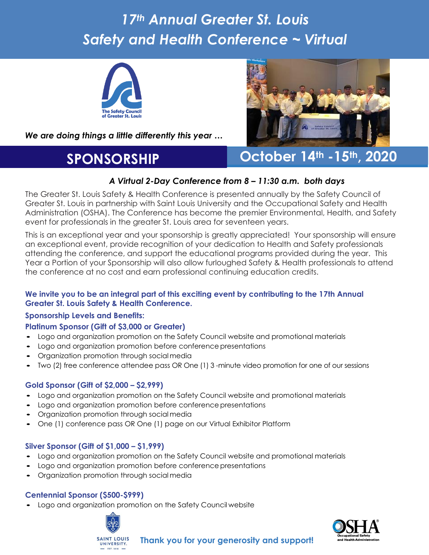# *17th Annual Greater St. Louis Safety and Health Conference ~ Virtual*





*We are doing things a little differently this year …*

### **October 14th -15th SPONSORSHIP , 2020**

### *A Virtual 2-Day Conference from 8 – 11:30 a.m. both days*

The Greater St. Louis Safety & Health Conference is presented annually by the Safety Council of Greater St. Louis in partnership with Saint Louis University and the Occupational Safety and Health Administration (OSHA). The Conference has become the premier Environmental, Health, and Safety event for professionals in the greater St. Louis area for seventeen years.

This is an exceptional year and your sponsorship is greatly appreciated! Your sponsorship will ensure an exceptional event, provide recognition of your dedication to Health and Safety professionals attending the conference, and support the educational programs provided during the year. This Year a Portion of your Sponsorship will also allow furloughed Safety & Health professionals to attend the conference at no cost and earn professional continuing education credits.

#### **We invite you to be an integral part of this exciting event by contributing to the 17th Annual Greater St. Louis Safety & Health Conference.**

#### **Sponsorship Levels and Benefits:**

#### **Platinum Sponsor (Gift of \$3,000 or Greater)**

- Logo and organization promotion on the Safety Council website and promotional materials
- Logo and organization promotion before conference presentations
- Organization promotion through social media
- Two (2) free conference attendee pass OR One (1) 3 -minute video promotion for one of our sessions

#### **Gold Sponsor (Gift of \$2,000 – \$2,999)**

- Logo and organization promotion on the Safety Council website and promotional materials
- Logo and organization promotion before conference presentations
- Organization promotion through social media
- One (1) conference pass OR One (1) page on our Virtual Exhibitor Platform

#### **Silver Sponsor (Gift of \$1,000 – \$1,999)**

- Logo and organization promotion on the Safety Council website and promotional materials
- Logo and organization promotion before conference presentations
- Organization promotion through social media

#### **Centennial Sponsor (\$500-\$999)**

• Logo and organization promotion on the Safety Council website





#### **Thank you for your generosity and support!**